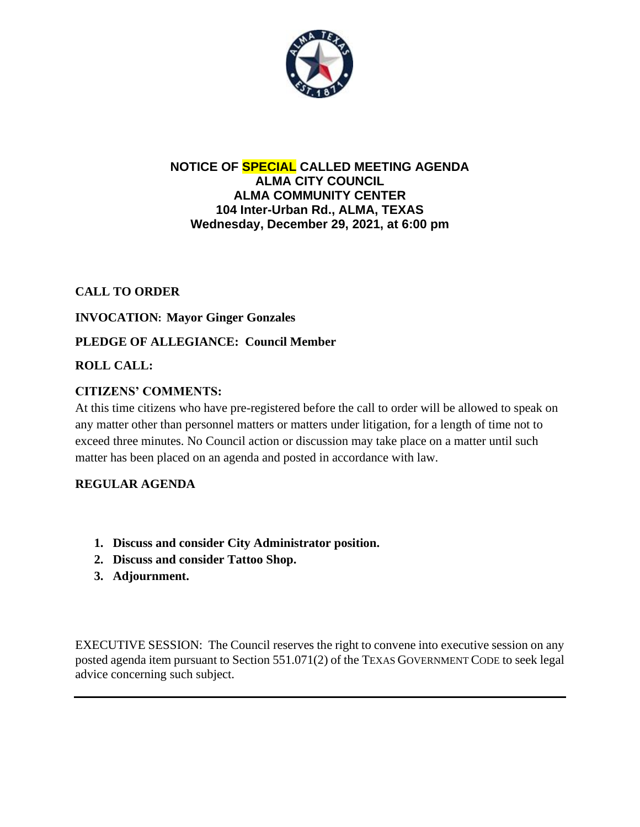

## **NOTICE OF SPECIAL CALLED MEETING AGENDA ALMA CITY COUNCIL ALMA COMMUNITY CENTER 104 Inter-Urban Rd., ALMA, TEXAS Wednesday, December 29, 2021, at 6:00 pm**

# **CALL TO ORDER**

## **INVOCATION: Mayor Ginger Gonzales**

## **PLEDGE OF ALLEGIANCE: Council Member**

## **ROLL CALL:**

## **CITIZENS' COMMENTS:**

At this time citizens who have pre-registered before the call to order will be allowed to speak on any matter other than personnel matters or matters under litigation, for a length of time not to exceed three minutes. No Council action or discussion may take place on a matter until such matter has been placed on an agenda and posted in accordance with law.

#### **REGULAR AGENDA**

- **1. Discuss and consider City Administrator position.**
- **2. Discuss and consider Tattoo Shop.**
- **3. Adjournment.**

EXECUTIVE SESSION: The Council reserves the right to convene into executive session on any posted agenda item pursuant to Section 551.071(2) of the TEXAS GOVERNMENT CODE to seek legal advice concerning such subject.